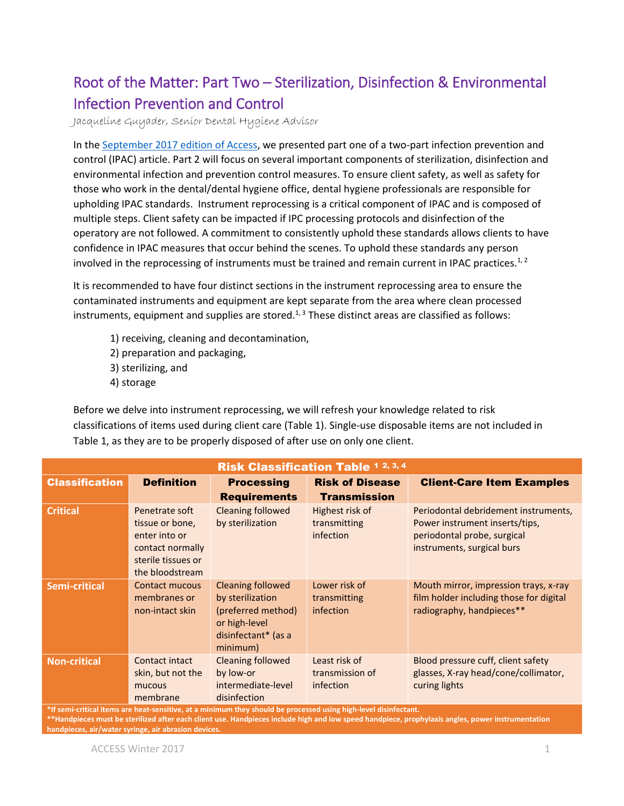# Root of the Matter: Part Two – Sterilization, Disinfection & Environmental Infection Prevention and Control

Jacqueline Guyader, Senior Dental Hygiene Advisor

In th[e September 2017 edition of Access,](http://www.cdhbc.com/Documents/Root-of-the-Matter-IPC-Part1-Sept-21-2017-(1).aspx) we presented part one of a two-part infection prevention and control (IPAC) article. Part 2 will focus on several important components of sterilization, disinfection and environmental infection and prevention control measures. To ensure client safety, as well as safety for those who work in the dental/dental hygiene office, dental hygiene professionals are responsible for upholding IPAC standards. Instrument reprocessing is a critical component of IPAC and is composed of multiple steps. Client safety can be impacted if IPC processing protocols and disinfection of the operatory are not followed. A commitment to consistently uphold these standards allows clients to have confidence in IPAC measures that occur behind the scenes. To uphold these standards any person involved in the reprocessing of instruments must be trained and remain current in IPAC practices.<sup>1, 2</sup>

It is recommended to have four distinct sections in the instrument reprocessing area to ensure the contaminated instruments and equipment are kept separate from the area where clean processed instruments, equipment and supplies are stored. $1,3$  These distinct areas are classified as follows:

- 1) receiving, cleaning and decontamination,
- 2) preparation and packaging,
- 3) sterilizing, and
- 4) storage

Before we delve into instrument reprocessing, we will refresh your knowledge related to risk classifications of items used during client care (Table 1). Single-use disposable items are not included in Table 1, as they are to be properly disposed of after use on only one client.

| <b>Risk Classification Table 1 2, 3, 4</b> |                                                                                                                 |                                                                                                                        |                                                      |                                                                                                                                     |
|--------------------------------------------|-----------------------------------------------------------------------------------------------------------------|------------------------------------------------------------------------------------------------------------------------|------------------------------------------------------|-------------------------------------------------------------------------------------------------------------------------------------|
| <b>Classification</b>                      | <b>Definition</b>                                                                                               | <b>Processing</b><br><b>Requirements</b>                                                                               | <b>Risk of Disease</b><br><b>Transmission</b>        | <b>Client-Care Item Examples</b>                                                                                                    |
| <b>Critical</b>                            | Penetrate soft<br>tissue or bone,<br>enter into or<br>contact normally<br>sterile tissues or<br>the bloodstream | <b>Cleaning followed</b><br>by sterilization                                                                           | Highest risk of<br>transmitting<br><i>infection</i>  | Periodontal debridement instruments,<br>Power instrument inserts/tips,<br>periodontal probe, surgical<br>instruments, surgical burs |
| <b>Semi-critical</b>                       | Contact mucous<br>membranes or<br>non-intact skin                                                               | <b>Cleaning followed</b><br>by sterilization<br>(preferred method)<br>or high-level<br>disinfectant* (as a<br>minimum) | Lower risk of<br>transmitting<br>infection           | Mouth mirror, impression trays, x-ray<br>film holder including those for digital<br>radiography, handpieces**                       |
| <b>Non-critical</b>                        | Contact intact<br>skin, but not the<br>mucous<br>membrane                                                       | <b>Cleaning followed</b><br>by low-or<br>intermediate-level<br>disinfection                                            | Least risk of<br>transmission of<br><i>infection</i> | Blood pressure cuff, client safety<br>glasses, X-ray head/cone/collimator,<br>curing lights                                         |

**\*If semi-critical items are heat-sensitive, at a minimum they should be processed using high-level disinfectant.** 

**\*\*Handpieces must be sterilized after each client use. Handpieces include high and low speed handpiece, prophylaxis angles, power instrumentation handpieces, air/water syringe, air abrasion devices.**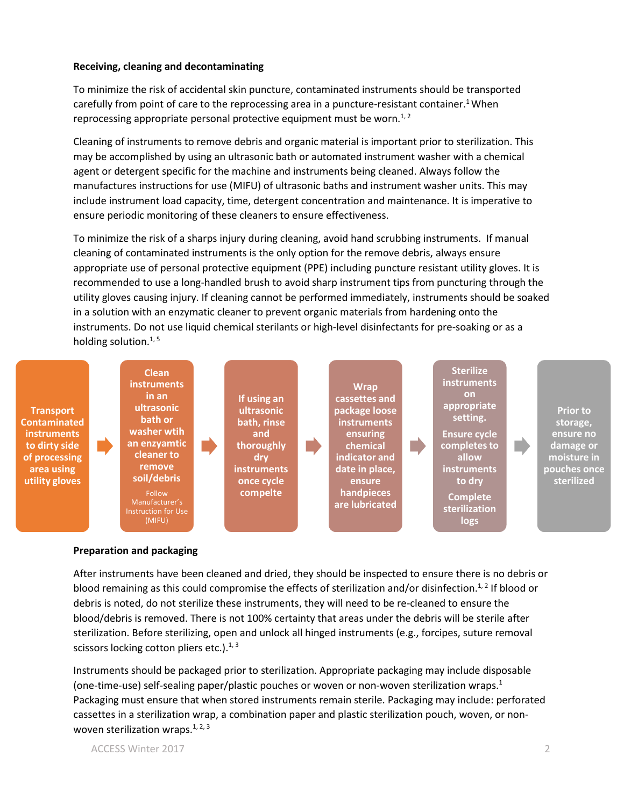#### **Receiving, cleaning and decontaminating**

To minimize the risk of accidental skin puncture, contaminated instruments should be transported carefully from point of care to the reprocessing area in a puncture-resistant container.<sup>1</sup> When reprocessing appropriate personal protective equipment must be worn.<sup>1, 2</sup>

Cleaning of instruments to remove debris and organic material is important prior to sterilization. This may be accomplished by using an ultrasonic bath or automated instrument washer with a chemical agent or detergent specific for the machine and instruments being cleaned. Always follow the manufactures instructions for use (MIFU) of ultrasonic baths and instrument washer units. This may include instrument load capacity, time, detergent concentration and maintenance. It is imperative to ensure periodic monitoring of these cleaners to ensure effectiveness.

To minimize the risk of a sharps injury during cleaning, avoid hand scrubbing instruments. If manual cleaning of contaminated instruments is the only option for the remove debris, always ensure appropriate use of personal protective equipment (PPE) including puncture resistant utility gloves. It is recommended to use a long-handled brush to avoid sharp instrument tips from puncturing through the utility gloves causing injury. If cleaning cannot be performed immediately, instruments should be soaked in a solution with an enzymatic cleaner to prevent organic materials from hardening onto the instruments. Do not use liquid chemical sterilants or high-level disinfectants for pre-soaking or as a holding solution. $1, 5$ 



#### **Preparation and packaging**

After instruments have been cleaned and dried, they should be inspected to ensure there is no debris or blood remaining as this could compromise the effects of sterilization and/or disinfection.<sup>1,2</sup> If blood or debris is noted, do not sterilize these instruments, they will need to be re-cleaned to ensure the blood/debris is removed. There is not 100% certainty that areas under the debris will be sterile after sterilization. Before sterilizing, open and unlock all hinged instruments (e.g., forcipes, suture removal scissors locking cotton pliers etc.). $1, 3$ 

Instruments should be packaged prior to sterilization. Appropriate packaging may include disposable (one-time-use) self-sealing paper/plastic pouches or woven or non-woven sterilization wraps.<sup>1</sup> Packaging must ensure that when stored instruments remain sterile. Packaging may include: perforated cassettes in a sterilization wrap, a combination paper and plastic sterilization pouch, woven, or nonwoven sterilization wraps. $1, 2, 3$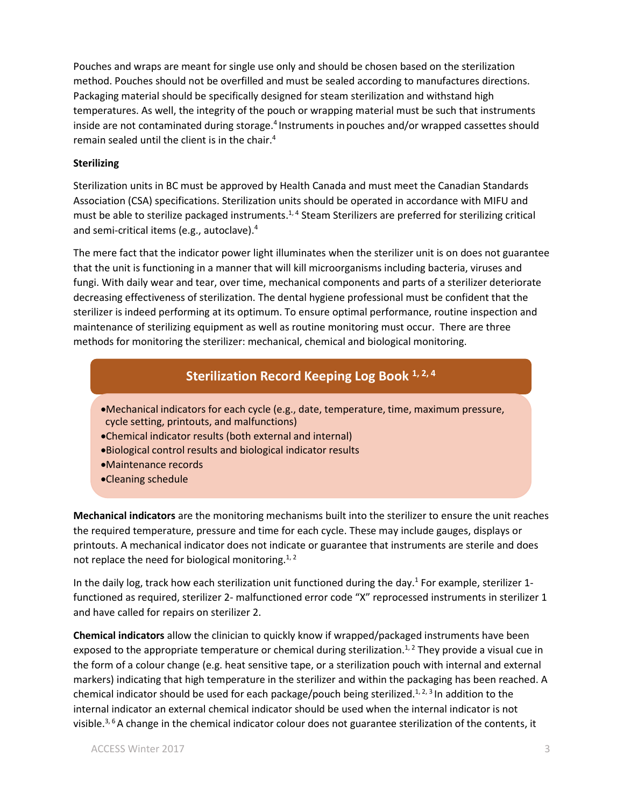Pouches and wraps are meant for single use only and should be chosen based on the sterilization method. Pouches should not be overfilled and must be sealed according to manufactures directions. Packaging material should be specifically designed for steam sterilization and withstand high temperatures. As well, the integrity of the pouch or wrapping material must be such that instruments inside are not contaminated during storage.<sup>4</sup> Instruments in pouches and/or wrapped cassettes should remain sealed until the client is in the chair.<sup>4</sup>

#### **Sterilizing**

Sterilization units in BC must be approved by Health Canada and must meet the Canadian Standards Association (CSA) specifications. Sterilization units should be operated in accordance with MIFU and must be able to sterilize packaged instruments.<sup>1,4</sup> Steam Sterilizers are preferred for sterilizing critical and semi-critical items (e.g., autoclave). 4

The mere fact that the indicator power light illuminates when the sterilizer unit is on does not guarantee that the unit is functioning in a manner that will kill microorganisms including bacteria, viruses and fungi. With daily wear and tear, over time, mechanical components and parts of a sterilizer deteriorate decreasing effectiveness of sterilization. The dental hygiene professional must be confident that the sterilizer is indeed performing at its optimum. To ensure optimal performance, routine inspection and maintenance of sterilizing equipment as well as routine monitoring must occur. There are three methods for monitoring the sterilizer: mechanical, chemical and biological monitoring.

## **Sterilization Record Keeping Log Book 1, 2, 4**

- •Mechanical indicators for each cycle (e.g., date, temperature, time, maximum pressure, cycle setting, printouts, and malfunctions)
- •Chemical indicator results (both external and internal)
- •Biological control results and biological indicator results
- •Maintenance records
- •Cleaning schedule

**Mechanical indicators** are the monitoring mechanisms built into the sterilizer to ensure the unit reaches the required temperature, pressure and time for each cycle. These may include gauges, displays or printouts. A mechanical indicator does not indicate or guarantee that instruments are sterile and does not replace the need for biological monitoring. $^{1, 2}$ 

In the daily log, track how each sterilization unit functioned during the day.<sup>1</sup> For example, sterilizer 1functioned as required, sterilizer 2- malfunctioned error code "X" reprocessed instruments in sterilizer 1 and have called for repairs on sterilizer 2.

**Chemical indicators** allow the clinician to quickly know if wrapped/packaged instruments have been exposed to the appropriate temperature or chemical during sterilization.<sup>1, 2</sup> They provide a visual cue in the form of a colour change (e.g. heat sensitive tape, or a sterilization pouch with internal and external markers) indicating that high temperature in the sterilizer and within the packaging has been reached. A chemical indicator should be used for each package/pouch being sterilized.<sup>1, 2, 3</sup> In addition to the internal indicator an external chemical indicator should be used when the internal indicator is not visible.3, 6A change in the chemical indicator colour does not guarantee sterilization of the contents, it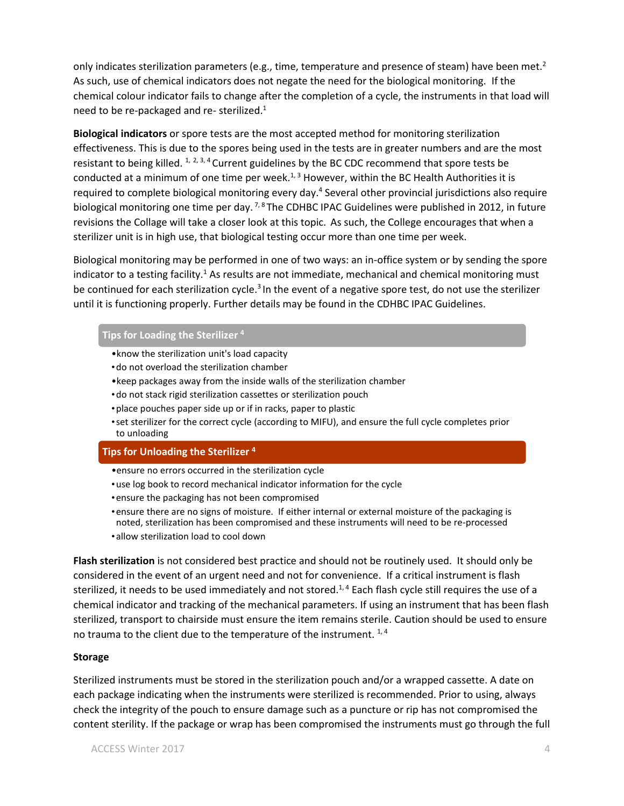only indicates sterilization parameters (e.g., time, temperature and presence of steam) have been met.<sup>2</sup> As such, use of chemical indicators does not negate the need for the biological monitoring. If the chemical colour indicator fails to change after the completion of a cycle, the instruments in that load will need to be re-packaged and re- sterilized.<sup>1</sup>

**Biological indicators** or spore tests are the most accepted method for monitoring sterilization effectiveness. This is due to the spores being used in the tests are in greater numbers and are the most resistant to being killed.  $1, 2, 3, 4$  Current guidelines by the BC CDC recommend that spore tests be conducted at a minimum of one time per week. $1,3$  However, within the BC Health Authorities it is required to complete biological monitoring every day.<sup>4</sup> Several other provincial jurisdictions also require biological monitoring one time per day. <sup>7, 8</sup> The CDHBC IPAC Guidelines were published in 2012, in future revisions the Collage will take a closer look at this topic. As such, the College encourages that when a sterilizer unit is in high use, that biological testing occur more than one time per week.

Biological monitoring may be performed in one of two ways: an in-office system or by sending the spore indicator to a testing facility.<sup>1</sup> As results are not immediate, mechanical and chemical monitoring must be continued for each sterilization cycle.<sup>3</sup> In the event of a negative spore test, do not use the sterilizer until it is functioning properly. Further details may be found in the CDHBC IPAC Guidelines.

#### **Tips for Loading the Sterilizer <sup>4</sup>**

- •know the sterilization unit's load capacity
- •do not overload the sterilization chamber
- •keep packages away from the inside walls of the sterilization chamber
- •do not stack rigid sterilization cassettes or sterilization pouch
- •place pouches paper side up or if in racks, paper to plastic
- •set sterilizer for the correct cycle (according to MIFU), and ensure the full cycle completes prior to unloading

#### **Tips for Unloading the Sterilizer <sup>4</sup>**

- •ensure no errors occurred in the sterilization cycle
- •use log book to record mechanical indicator information for the cycle
- •ensure the packaging has not been compromised
- •ensure there are no signs of moisture. If either internal or external moisture of the packaging is noted, sterilization has been compromised and these instruments will need to be re-processed
- •allow sterilization load to cool down

**Flash sterilization** is not considered best practice and should not be routinely used. It should only be considered in the event of an urgent need and not for convenience. If a critical instrument is flash sterilized, it needs to be used immediately and not stored.<sup>1,4</sup> Each flash cycle still requires the use of a chemical indicator and tracking of the mechanical parameters. If using an instrument that has been flash sterilized, transport to chairside must ensure the item remains sterile. Caution should be used to ensure no trauma to the client due to the temperature of the instrument.  $1,4$ 

#### **Storage**

Sterilized instruments must be stored in the sterilization pouch and/or a wrapped cassette. A date on each package indicating when the instruments were sterilized is recommended. Prior to using, always check the integrity of the pouch to ensure damage such as a puncture or rip has not compromised the content sterility. If the package or wrap has been compromised the instruments must go through the full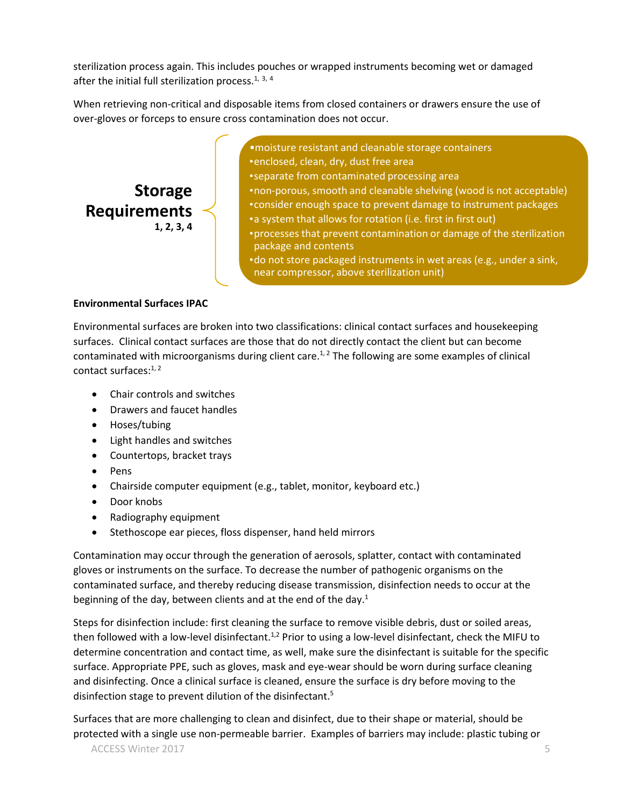sterilization process again. This includes pouches or wrapped instruments becoming wet or damaged after the initial full sterilization process.<sup>1, 3, 4</sup>

When retrieving non-critical and disposable items from closed containers or drawers ensure the use of over-gloves or forceps to ensure cross contamination does not occur.

**Storage Requirements 1, 2, 3, 4**

- •moisture resistant and cleanable storage containers •enclosed, clean, dry, dust free area
- •separate from contaminated processing area
- •non-porous, smooth and cleanable shelving (wood is not acceptable)
- •consider enough space to prevent damage to instrument packages
- •a system that allows for rotation (i.e. first in first out)
- •processes that prevent contamination or damage of the sterilization package and contents
- •do not store packaged instruments in wet areas (e.g., under a sink, near compressor, above sterilization unit)

#### **Environmental Surfaces IPAC**

Environmental surfaces are broken into two classifications: clinical contact surfaces and housekeeping surfaces. Clinical contact surfaces are those that do not directly contact the client but can become contaminated with microorganisms during client care.<sup>1, 2</sup> The following are some examples of clinical contact surfaces:<sup>1,2</sup>

- Chair controls and switches
- Drawers and faucet handles
- Hoses/tubing
- Light handles and switches
- Countertops, bracket trays
- Pens
- Chairside computer equipment (e.g., tablet, monitor, keyboard etc.)
- Door knobs
- Radiography equipment
- Stethoscope ear pieces, floss dispenser, hand held mirrors

Contamination may occur through the generation of aerosols, splatter, contact with contaminated gloves or instruments on the surface. To decrease the number of pathogenic organisms on the contaminated surface, and thereby reducing disease transmission, disinfection needs to occur at the beginning of the day, between clients and at the end of the day.<sup>1</sup>

Steps for disinfection include: first cleaning the surface to remove visible debris, dust or soiled areas, then followed with a low-level disinfectant.<sup>1,2</sup> Prior to using a low-level disinfectant, check the MIFU to determine concentration and contact time, as well, make sure the disinfectant is suitable for the specific surface. Appropriate PPE, such as gloves, mask and eye-wear should be worn during surface cleaning and disinfecting. Once a clinical surface is cleaned, ensure the surface is dry before moving to the disinfection stage to prevent dilution of the disinfectant.<sup>5</sup>

Surfaces that are more challenging to clean and disinfect, due to their shape or material, should be protected with a single use non-permeable barrier. Examples of barriers may include: plastic tubing or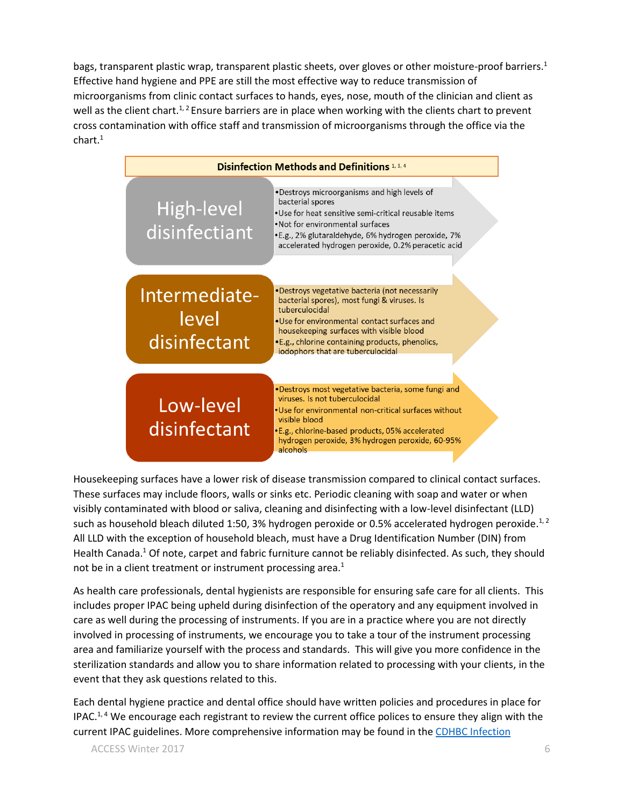bags, transparent plastic wrap, transparent plastic sheets, over gloves or other moisture-proof barriers.<sup>1</sup> Effective hand hygiene and PPE are still the most effective way to reduce transmission of microorganisms from clinic contact surfaces to hands, eyes, nose, mouth of the clinician and client as well as the client chart.<sup>1, 2</sup> Ensure barriers are in place when working with the clients chart to prevent cross contamination with office staff and transmission of microorganisms through the office via the chart.<sup>1</sup>



Housekeeping surfaces have a lower risk of disease transmission compared to clinical contact surfaces. These surfaces may include floors, walls or sinks etc. Periodic cleaning with soap and water or when visibly contaminated with blood or saliva, cleaning and disinfecting with a low-level disinfectant (LLD) such as household bleach diluted 1:50, 3% hydrogen peroxide or 0.5% accelerated hydrogen peroxide.<sup>1, 2</sup> All LLD with the exception of household bleach, must have a Drug Identification Number (DIN) from Health Canada.<sup>1</sup> Of note, carpet and fabric furniture cannot be reliably disinfected. As such, they should not be in a client treatment or instrument processing area.<sup>1</sup>

As health care professionals, dental hygienists are responsible for ensuring safe care for all clients. This includes proper IPAC being upheld during disinfection of the operatory and any equipment involved in care as well during the processing of instruments. If you are in a practice where you are not directly involved in processing of instruments, we encourage you to take a tour of the instrument processing area and familiarize yourself with the process and standards. This will give you more confidence in the sterilization standards and allow you to share information related to processing with your clients, in the event that they ask questions related to this.

Each dental hygiene practice and dental office should have written policies and procedures in place for IPAC.<sup>1, 4</sup> We encourage each registrant to review the current office polices to ensure they align with the current IPAC guidelines. More comprehensive information may be found in th[e CDHBC Infection](http://www.cdhbc.com/Documents/Infection-Prevention.aspx)